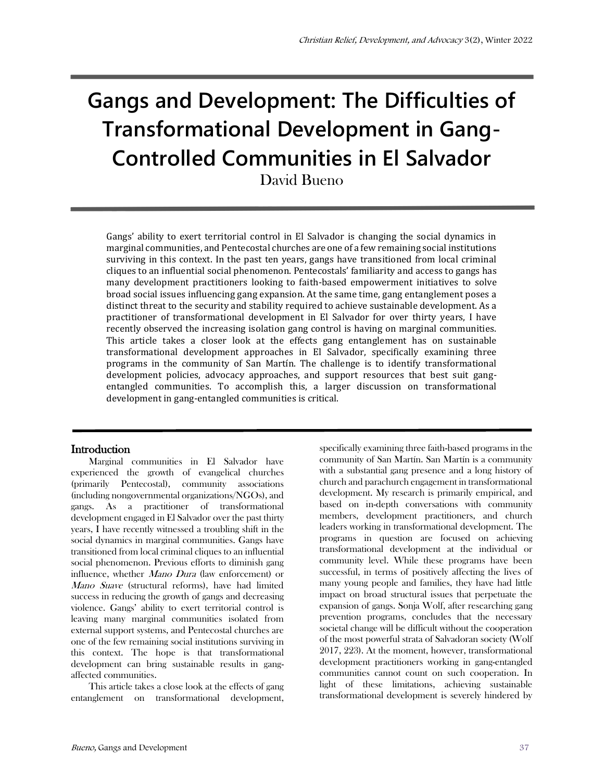# **Gangs and Development: The Difficulties of Transformational Development in Gang-Controlled Communities in El Salvador**

David Bueno

Gangs' ability to exert territorial control in El Salvador is changing the social dynamics in marginal communities, and Pentecostal churches are one of a few remaining social institutions surviving in this context. In the past ten years, gangs have transitioned from local criminal cliques to an influential social phenomenon. Pentecostals' familiarity and access to gangs has many development practitioners looking to faith-based empowerment initiatives to solve broad social issues influencing gang expansion. At the same time, gang entanglement poses a distinct threat to the security and stability required to achieve sustainable development. As a practitioner of transformational development in El Salvador for over thirty years, I have recently observed the increasing isolation gang control is having on marginal communities. This article takes a closer look at the effects gang entanglement has on sustainable transformational development approaches in El Salvador, specifically examining three programs in the community of San Martín. The challenge is to identify transformational development policies, advocacy approaches, and support resources that best suit gangentangled communities. To accomplish this, a larger discussion on transformational development in gang-entangled communities is critical.

#### **Introduction**

Marginal communities in El Salvador have experienced the growth of evangelical churches (primarily Pentecostal), community associations (including nongovernmental organizations/NGOs), and gangs. As a practitioner of transformational development engaged in El Salvador over the past thirty years, I have recently witnessed a troubling shift in the social dynamics in marginal communities. Gangs have transitioned from local criminal cliques to an influential social phenomenon. Previous efforts to diminish gang influence, whether Mano Dura (law enforcement) or Mano Suave (structural reforms), have had limited success in reducing the growth of gangs and decreasing violence. Gangs' ability to exert territorial control is leaving many marginal communities isolated from external support systems, and Pentecostal churches are one of the few remaining social institutions surviving in this context. The hope is that transformational development can bring sustainable results in gangaffected communities.

This article takes a close look at the effects of gang entanglement on transformational development,

specifically examining three faith-based programs in the community of San Martín. San Martín is a community with a substantial gang presence and a long history of church and parachurch engagement in transformational development. My research is primarily empirical, and based on in-depth conversations with community members, development practitioners, and church leaders working in transformational development. The programs in question are focused on achieving transformational development at the individual or community level. While these programs have been successful, in terms of positively affecting the lives of many young people and families, they have had little impact on broad structural issues that perpetuate the expansion of gangs. Sonja Wolf, after researching gang prevention programs, concludes that the necessary societal change will be difficult without the cooperation of the most powerful strata of Salvadoran society (Wolf 2017, 223). At the moment, however, transformational development practitioners working in gang-entangled communities cannot count on such cooperation. In light of these limitations, achieving sustainable transformational development is severely hindered by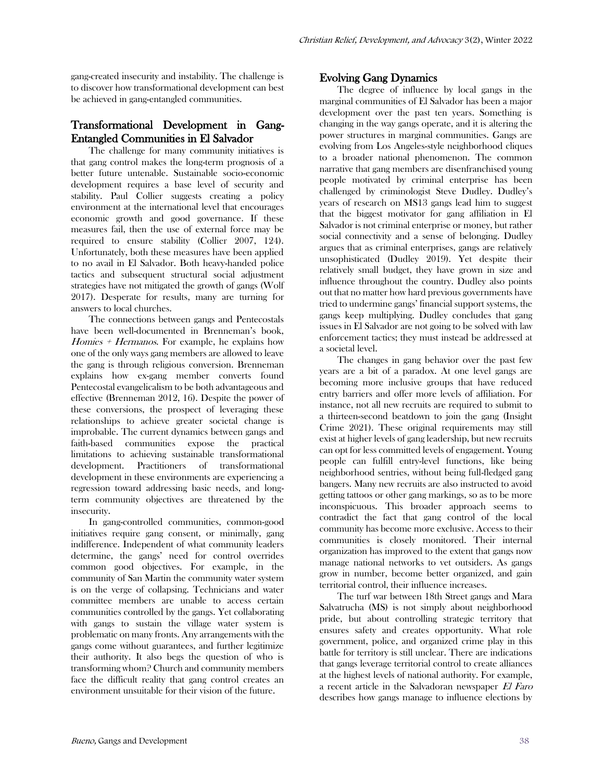gang-created insecurity and instability. The challenge is to discover how transformational development can best be achieved in gang-entangled communities.

## Transformational Development in Gang-Entangled Communities in El Salvador

The challenge for many community initiatives is that gang control makes the long-term prognosis of a better future untenable. Sustainable socio-economic development requires a base level of security and stability. Paul Collier suggests creating a policy environment at the international level that encourages economic growth and good governance. If these measures fail, then the use of external force may be required to ensure stability (Collier 2007, 124). Unfortunately, both these measures have been applied to no avail in El Salvador. Both heavy-handed police tactics and subsequent structural social adjustment strategies have not mitigated the growth of gangs (Wolf 2017). Desperate for results, many are turning for answers to local churches.

The connections between gangs and Pentecostals have been well-documented in Brenneman's book, Homies + Hermanos. For example, he explains how one of the only ways gang members are allowed to leave the gang is through religious conversion. Brenneman explains how ex-gang member converts found Pentecostal evangelicalism to be both advantageous and effective (Brenneman 2012, 16). Despite the power of these conversions, the prospect of leveraging these relationships to achieve greater societal change is improbable. The current dynamics between gangs and faith-based communities expose the practical limitations to achieving sustainable transformational development. Practitioners of transformational development in these environments are experiencing a regression toward addressing basic needs, and longterm community objectives are threatened by the insecurity.

In gang-controlled communities, common-good initiatives require gang consent, or minimally, gang indifference. Independent of what community leaders determine, the gangs' need for control overrides common good objectives. For example, in the community of San Martin the community water system is on the verge of collapsing. Technicians and water committee members are unable to access certain communities controlled by the gangs. Yet collaborating with gangs to sustain the village water system is problematic on many fronts. Any arrangements with the gangs come without guarantees, and further legitimize their authority. It also begs the question of who is transforming whom? Church and community members face the difficult reality that gang control creates an environment unsuitable for their vision of the future.

#### Evolving Gang Dynamics

The degree of influence by local gangs in the marginal communities of El Salvador has been a major development over the past ten years. Something is changing in the way gangs operate, and it is altering the power structures in marginal communities. Gangs are evolving from Los Angeles-style neighborhood cliques to a broader national phenomenon. The common narrative that gang members are disenfranchised young people motivated by criminal enterprise has been challenged by criminologist Steve Dudley. Dudley's years of research on MS13 gangs lead him to suggest that the biggest motivator for gang affiliation in El Salvador is not criminal enterprise or money, but rather social connectivity and a sense of belonging. Dudley argues that as criminal enterprises, gangs are relatively unsophisticated (Dudley 2019). Yet despite their relatively small budget, they have grown in size and influence throughout the country. Dudley also points out that no matter how hard previous governments have tried to undermine gangs' financial support systems, the gangs keep multiplying. Dudley concludes that gang issues in El Salvador are not going to be solved with law enforcement tactics; they must instead be addressed at a societal level.

The changes in gang behavior over the past few years are a bit of a paradox. At one level gangs are becoming more inclusive groups that have reduced entry barriers and offer more levels of affiliation. For instance, not all new recruits are required to submit to a thirteen-second beatdown to join the gang (Insight Crime 2021). These original requirements may still exist at higher levels of gang leadership, but new recruits can opt for less committed levels of engagement. Young people can fulfill entry-level functions, like being neighborhood sentries, without being full-fledged gang bangers. Many new recruits are also instructed to avoid getting tattoos or other gang markings, so as to be more inconspicuous. This broader approach seems to contradict the fact that gang control of the local community has become more exclusive. Access to their communities is closely monitored. Their internal organization has improved to the extent that gangs now manage national networks to vet outsiders. As gangs grow in number, become better organized, and gain territorial control, their influence increases.

The turf war between 18th Street gangs and Mara Salvatrucha (MS) is not simply about neighborhood pride, but about controlling strategic territory that ensures safety and creates opportunity. What role government, police, and organized crime play in this battle for territory is still unclear. There are indications that gangs leverage territorial control to create alliances at the highest levels of national authority. For example, a recent article in the Salvadoran newspaper El Faro describes how gangs manage to influence elections by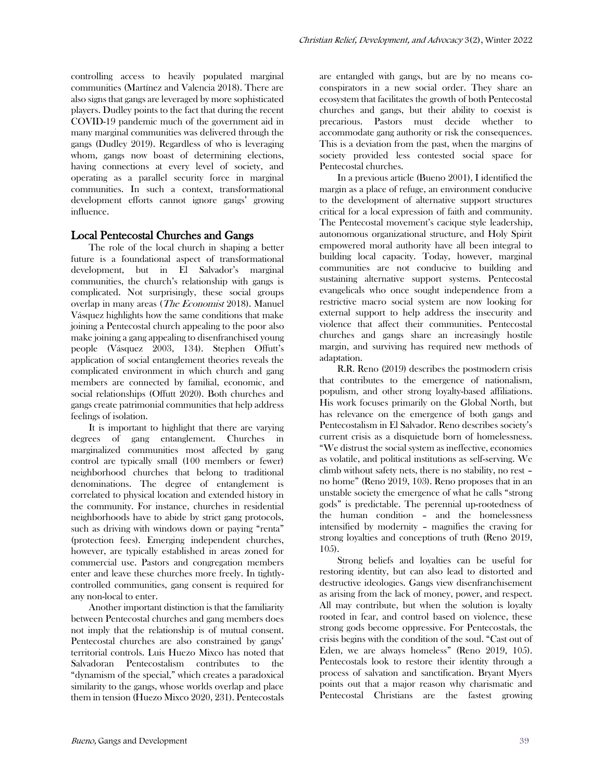controlling access to heavily populated marginal communities (Martínez and Valencia 2018). There are also signs that gangs are leveraged by more sophisticated players. Dudley points to the fact that during the recent COVID-19 pandemic much of the government aid in many marginal communities was delivered through the gangs (Dudley 2019). Regardless of who is leveraging whom, gangs now boast of determining elections, having connections at every level of society, and operating as a parallel security force in marginal communities. In such a context, transformational development efforts cannot ignore gangs' growing influence.

## Local Pentecostal Churches and Gangs

The role of the local church in shaping a better future is a foundational aspect of transformational development, but in El Salvador's marginal communities, the church's relationship with gangs is complicated. Not surprisingly, these social groups overlap in many areas (*The Economist* 2018). Manuel Vásquez highlights how the same conditions that make joining a Pentecostal church appealing to the poor also make joining a gang appealing to disenfranchised young people (Vásquez 2003, 134). Stephen Offutt's application of social entanglement theories reveals the complicated environment in which church and gang members are connected by familial, economic, and social relationships (Offutt 2020). Both churches and gangs create patrimonial communities that help address feelings of isolation.

It is important to highlight that there are varying degrees of gang entanglement. Churches in marginalized communities most affected by gang control are typically small (100 members or fewer) neighborhood churches that belong to traditional denominations. The degree of entanglement is correlated to physical location and extended history in the community. For instance, churches in residential neighborhoods have to abide by strict gang protocols, such as driving with windows down or paying "renta" (protection fees). Emerging independent churches, however, are typically established in areas zoned for commercial use. Pastors and congregation members enter and leave these churches more freely. In tightlycontrolled communities, gang consent is required for any non-local to enter.

Another important distinction is that the familiarity between Pentecostal churches and gang members does not imply that the relationship is of mutual consent. Pentecostal churches are also constrained by gangs' territorial controls. Luis Huezo Mixco has noted that Salvadoran Pentecostalism contributes to the "dynamism of the special," which creates a paradoxical similarity to the gangs, whose worlds overlap and place them in tension (Huezo Mixco 2020, 231). Pentecostals are entangled with gangs, but are by no means coconspirators in a new social order. They share an ecosystem that facilitates the growth of both Pentecostal churches and gangs, but their ability to coexist is precarious. Pastors must decide whether to accommodate gang authority or risk the consequences. This is a deviation from the past, when the margins of society provided less contested social space for Pentecostal churches.

In a previous article (Bueno 2001), I identified the margin as a place of refuge, an environment conducive to the development of alternative support structures critical for a local expression of faith and community. The Pentecostal movement's cacique style leadership, autonomous organizational structure, and Holy Spirit empowered moral authority have all been integral to building local capacity. Today, however, marginal communities are not conducive to building and sustaining alternative support systems. Pentecostal evangelicals who once sought independence from a restrictive macro social system are now looking for external support to help address the insecurity and violence that affect their communities. Pentecostal churches and gangs share an increasingly hostile margin, and surviving has required new methods of adaptation.

R.R. Reno (2019) describes the postmodern crisis that contributes to the emergence of nationalism, populism, and other strong loyalty-based affiliations. His work focuses primarily on the Global North, but has relevance on the emergence of both gangs and Pentecostalism in El Salvador. Reno describes society's current crisis as a disquietude born of homelessness. "We distrust the social system as ineffective, economies as volatile, and political institutions as self-serving. We climb without safety nets, there is no stability, no rest – no home" (Reno 2019, 103). Reno proposes that in an unstable society the emergence of what he calls "strong gods" is predictable. The perennial up-rootedness of the human condition – and the homelessness intensified by modernity – magnifies the craving for strong loyalties and conceptions of truth (Reno 2019, 105).

Strong beliefs and loyalties can be useful for restoring identity, but can also lead to distorted and destructive ideologies. Gangs view disenfranchisement as arising from the lack of money, power, and respect. All may contribute, but when the solution is loyalty rooted in fear, and control based on violence, these strong gods become oppressive. For Pentecostals, the crisis begins with the condition of the soul. "Cast out of Eden, we are always homeless" (Reno 2019, 105). Pentecostals look to restore their identity through a process of salvation and sanctification. Bryant Myers points out that a major reason why charismatic and Pentecostal Christians are the fastest growing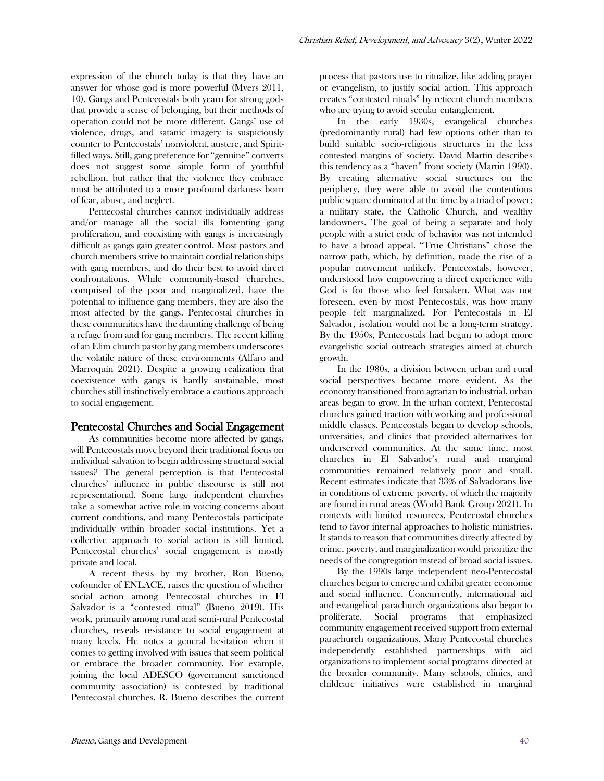expression of the church today is that they have an answer for whose god is more powerful (Myers 2011, 10). Gangs and Pentecostals both yearn for strong gods that provide a sense of belonging, but their methods of operation could not be more different. Gangs' use of violence, drugs, and satanic imagery is suspiciously counter to Pentecostals' nonviolent, austere, and Spiritfilled ways. Still, gang preference for "genuine" converts does not suggest some simple form of youthful rebellion, but rather that the violence they embrace must be attributed to a more profound darkness born of fear, abuse, and neglect.

Pentecostal churches cannot individually address and/or manage all the social ills fomenting gang proliferation, and coexisting with gangs is increasingly difficult as gangs gain greater control. Most pastors and church members strive to maintain cordial relationships with gang members, and do their best to avoid direct confrontations. While community-based churches, comprised of the poor and marginalized, have the potential to influence gang members, they are also the most affected by the gangs. Pentecostal churches in these communities have the daunting challenge of being a refuge from and for gang members. The recent killing of an Elim church pastor by gang members underscores the volatile nature of these environments (Alfaro and Marroquín 2021). Despite a growing realization that coexistence with gangs is hardly sustainable, most churches still instinctively embrace a cautious approach to social engagement.

## Pentecostal Churches and Social Engagement

As communities become more affected by gangs, will Pentecostals move beyond their traditional focus on individual salvation to begin addressing structural social issues? The general perception is that Pentecostal churches' influence in public discourse is still not representational. Some large independent churches take a somewhat active role in voicing concerns about current conditions, and many Pentecostals participate individually within broader social institutions. Yet a collective approach to social action is still limited. Pentecostal churches' social engagement is mostly private and local.

A recent thesis by my brother, Ron Bueno, cofounder of ENLACE, raises the question of whether social action among Pentecostal churches in El Salvador is a "contested ritual" (Bueno 2019). His work, primarily among rural and semi-rural Pentecostal churches, reveals resistance to social engagement at many levels. He notes a general hesitation when it comes to getting involved with issues that seem political or embrace the broader community. For example, joining the local ADESCO (government sanctioned community association) is contested by traditional Pentecostal churches. R. Bueno describes the current

process that pastors use to ritualize, like adding prayer or evangelism, to justify social action. This approach creates "contested rituals" by reticent church members who are trying to avoid secular entanglement.

In the early 1930s, evangelical churches (predominantly rural) had few options other than to build suitable socio-religious structures in the less contested margins of society. David Martin describes this tendency as a "haven" from society (Martin 1990). By creating alternative social structures on the periphery, they were able to avoid the contentious public square dominated at the time by a triad of power; a military state, the Catholic Church, and wealthy landowners. The goal of being a separate and holy people with a strict code of behavior was not intended to have a broad appeal. "True Christians" chose the narrow path, which, by definition, made the rise of a popular movement unlikely. Pentecostals, however, understood how empowering a direct experience with God is for those who feel forsaken. What was not foreseen, even by most Pentecostals, was how many people felt marginalized. For Pentecostals in El Salvador, isolation would not be a long-term strategy. By the 1950s, Pentecostals had begun to adopt more evangelistic social outreach strategies aimed at church growth.

In the 1980s, a division between urban and rural social perspectives became more evident. As the economy transitioned from agrarian to industrial, urban areas began to grow. In the urban context, Pentecostal churches gained traction with working and professional middle classes. Pentecostals began to develop schools, universities, and clinics that provided alternatives for underserved communities. At the same time, most churches in El Salvador's rural and marginal communities remained relatively poor and small. Recent estimates indicate that 33% of Salvadorans live in conditions of extreme poverty, of which the majority are found in rural areas (World Bank Group 2021). In contexts with limited resources, Pentecostal churches tend to favor internal approaches to holistic ministries. It stands to reason that communities directly affected by crime, poverty, and marginalization would prioritize the needs of the congregation instead of broad social issues.

By the 1990s large independent neo-Pentecostal churches began to emerge and exhibit greater economic and social influence. Concurrently, international aid and evangelical parachurch organizations also began to proliferate. Social programs that emphasized community engagement received support from external parachurch organizations. Many Pentecostal churches independently established partnerships with aid organizations to implement social programs directed at the broader community. Many schools, clinics, and childcare initiatives were established in marginal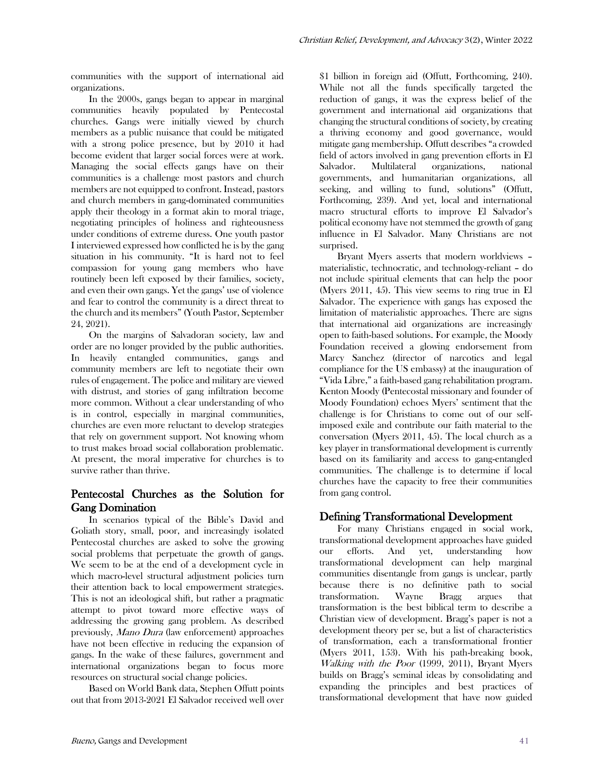communities with the support of international aid organizations.

In the 2000s, gangs began to appear in marginal communities heavily populated by Pentecostal churches. Gangs were initially viewed by church members as a public nuisance that could be mitigated with a strong police presence, but by 2010 it had become evident that larger social forces were at work. Managing the social effects gangs have on their communities is a challenge most pastors and church members are not equipped to confront. Instead, pastors and church members in gang-dominated communities apply their theology in a format akin to moral triage, negotiating principles of holiness and righteousness under conditions of extreme duress. One youth pastor I interviewed expressed how conflicted he is by the gang situation in his community. "It is hard not to feel compassion for young gang members who have routinely been left exposed by their families, society, and even their own gangs. Yet the gangs' use of violence and fear to control the community is a direct threat to the church and its members" (Youth Pastor, September 24, 2021).

On the margins of Salvadoran society, law and order are no longer provided by the public authorities. In heavily entangled communities, gangs and community members are left to negotiate their own rules of engagement. The police and military are viewed with distrust, and stories of gang infiltration become more common. Without a clear understanding of who is in control, especially in marginal communities, churches are even more reluctant to develop strategies that rely on government support. Not knowing whom to trust makes broad social collaboration problematic. At present, the moral imperative for churches is to survive rather than thrive.

# Pentecostal Churches as the Solution for Gang Domination

In scenarios typical of the Bible's David and Goliath story, small, poor, and increasingly isolated Pentecostal churches are asked to solve the growing social problems that perpetuate the growth of gangs. We seem to be at the end of a development cycle in which macro-level structural adjustment policies turn their attention back to local empowerment strategies. This is not an ideological shift, but rather a pragmatic attempt to pivot toward more effective ways of addressing the growing gang problem. As described previously, Mano Dura (law enforcement) approaches have not been effective in reducing the expansion of gangs. In the wake of these failures, government and international organizations began to focus more resources on structural social change policies.

Based on World Bank data, Stephen Offutt points out that from 2013-2021 El Salvador received well over

\$1 billion in foreign aid (Offutt, Forthcoming, 240). While not all the funds specifically targeted the reduction of gangs, it was the express belief of the government and international aid organizations that changing the structural conditions of society, by creating a thriving economy and good governance, would mitigate gang membership. Offutt describes "a crowded field of actors involved in gang prevention efforts in El Salvador. Multilateral organizations, national governments, and humanitarian organizations, all seeking, and willing to fund, solutions" (Offutt, Forthcoming, 239). And yet, local and international macro structural efforts to improve El Salvador's political economy have not stemmed the growth of gang influence in El Salvador. Many Christians are not surprised.

Bryant Myers asserts that modern worldviews – materialistic, technocratic, and technology-reliant – do not include spiritual elements that can help the poor (Myers 2011, 45). This view seems to ring true in El Salvador. The experience with gangs has exposed the limitation of materialistic approaches. There are signs that international aid organizations are increasingly open to faith-based solutions. For example, the Moody Foundation received a glowing endorsement from Marcy Sanchez (director of narcotics and legal compliance for the US embassy) at the inauguration of "Vida Libre," a faith-based gang rehabilitation program. Kenton Moody (Pentecostal missionary and founder of Moody Foundation) echoes Myers' sentiment that the challenge is for Christians to come out of our selfimposed exile and contribute our faith material to the conversation (Myers 2011, 45). The local church as a key player in transformational development is currently based on its familiarity and access to gang-entangled communities. The challenge is to determine if local churches have the capacity to free their communities from gang control.

# Defining Transformational Development

For many Christians engaged in social work, transformational development approaches have guided our efforts. And yet, understanding how transformational development can help marginal communities disentangle from gangs is unclear, partly because there is no definitive path to social transformation. Wayne Bragg argues that transformation is the best biblical term to describe a Christian view of development. Bragg's paper is not a development theory per se, but a list of characteristics of transformation, each a transformational frontier (Myers 2011, 153). With his path-breaking book, Walking with the Poor (1999, 2011), Bryant Myers builds on Bragg's seminal ideas by consolidating and expanding the principles and best practices of transformational development that have now guided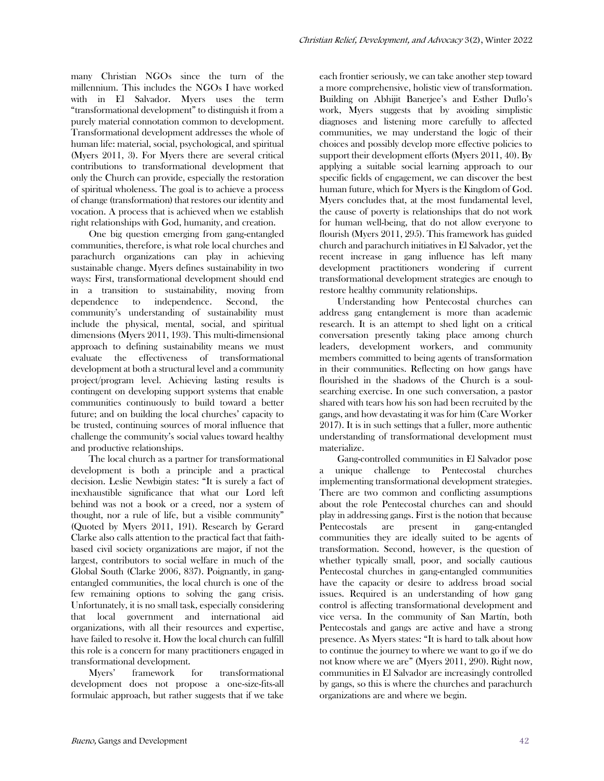many Christian NGOs since the turn of the millennium. This includes the NGOs I have worked with in El Salvador. Myers uses the term "transformational development" to distinguish it from a purely material connotation common to development. Transformational development addresses the whole of human life: material, social, psychological, and spiritual (Myers 2011, 3). For Myers there are several critical contributions to transformational development that only the Church can provide, especially the restoration of spiritual wholeness. The goal is to achieve a process of change (transformation) that restores our identity and vocation. A process that is achieved when we establish right relationships with God, humanity, and creation.

One big question emerging from gang-entangled communities, therefore, is what role local churches and parachurch organizations can play in achieving sustainable change. Myers defines sustainability in two ways: First, transformational development should end in a transition to sustainability, moving from dependence to independence. Second, the community's understanding of sustainability must include the physical, mental, social, and spiritual dimensions (Myers 2011, 193). This multi-dimensional approach to defining sustainability means we must evaluate the effectiveness of transformational development at both a structural level and a community project/program level. Achieving lasting results is contingent on developing support systems that enable communities continuously to build toward a better future; and on building the local churches' capacity to be trusted, continuing sources of moral influence that challenge the community's social values toward healthy and productive relationships.

The local church as a partner for transformational development is both a principle and a practical decision. Leslie Newbigin states: "It is surely a fact of inexhaustible significance that what our Lord left behind was not a book or a creed, nor a system of thought, nor a rule of life, but a visible community" (Quoted by Myers 2011, 191). Research by Gerard Clarke also calls attention to the practical fact that faithbased civil society organizations are major, if not the largest, contributors to social welfare in much of the Global South (Clarke 2006, 837). Poignantly, in gangentangled communities, the local church is one of the few remaining options to solving the gang crisis. Unfortunately, it is no small task, especially considering that local government and international aid organizations, with all their resources and expertise, have failed to resolve it. How the local church can fulfill this role is a concern for many practitioners engaged in transformational development.

Myers' framework for transformational development does not propose a one-size-fits-all formulaic approach, but rather suggests that if we take each frontier seriously, we can take another step toward a more comprehensive, holistic view of transformation. Building on Abhijit Banerjee's and Esther Duflo's work, Myers suggests that by avoiding simplistic diagnoses and listening more carefully to affected communities, we may understand the logic of their choices and possibly develop more effective policies to support their development efforts (Myers 2011, 40). By applying a suitable social learning approach to our specific fields of engagement, we can discover the best human future, which for Myers is the Kingdom of God. Myers concludes that, at the most fundamental level, the cause of poverty is relationships that do not work for human well-being, that do not allow everyone to flourish (Myers 2011, 295). This framework has guided church and parachurch initiatives in El Salvador, yet the recent increase in gang influence has left many development practitioners wondering if current transformational development strategies are enough to restore healthy community relationships.

Understanding how Pentecostal churches can address gang entanglement is more than academic research. It is an attempt to shed light on a critical conversation presently taking place among church leaders, development workers, and community members committed to being agents of transformation in their communities. Reflecting on how gangs have flourished in the shadows of the Church is a soulsearching exercise. In one such conversation, a pastor shared with tears how his son had been recruited by the gangs, and how devastating it was for him (Care Worker 2017). It is in such settings that a fuller, more authentic understanding of transformational development must materialize.

Gang-controlled communities in El Salvador pose a unique challenge to Pentecostal churches implementing transformational development strategies. There are two common and conflicting assumptions about the role Pentecostal churches can and should play in addressing gangs. First is the notion that because Pentecostals are present in gang-entangled communities they are ideally suited to be agents of transformation. Second, however, is the question of whether typically small, poor, and socially cautious Pentecostal churches in gang-entangled communities have the capacity or desire to address broad social issues. Required is an understanding of how gang control is affecting transformational development and vice versa. In the community of San Martín, both Pentecostals and gangs are active and have a strong presence. As Myers states: "It is hard to talk about how to continue the journey to where we want to go if we do not know where we are" (Myers 2011, 290). Right now, communities in El Salvador are increasingly controlled by gangs, so this is where the churches and parachurch organizations are and where we begin.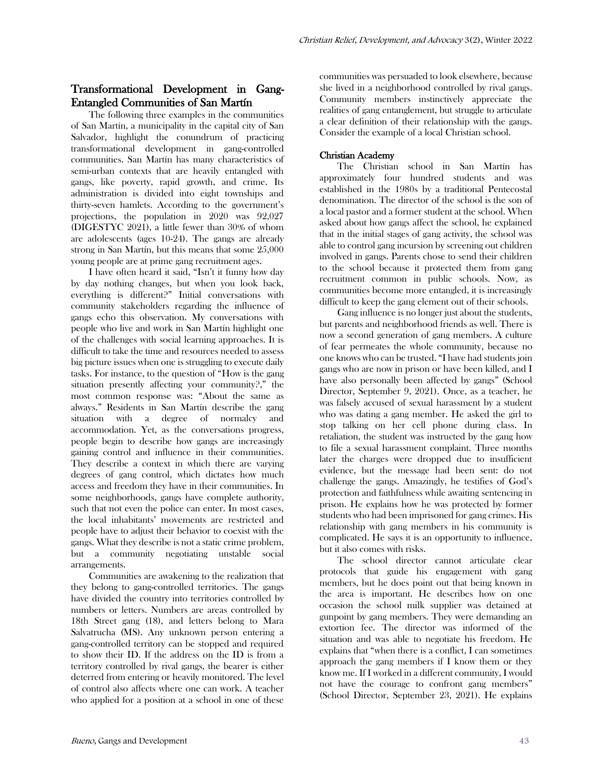## Transformational Development in Gang-Entangled Communities of San Martín

The following three examples in the communities of San Martín, a municipality in the capital city of San Salvador, highlight the conundrum of practicing transformational development in gang-controlled communities. San Martín has many characteristics of semi-urban contexts that are heavily entangled with gangs, like poverty, rapid growth, and crime. Its administration is divided into eight townships and thirty-seven hamlets. According to the government's projections, the population in 2020 was 92,027 (DIGESTYC 2021), a little fewer than 30% of whom are adolescents (ages 10-24). The gangs are already strong in San Martín, but this means that some 25,000 young people are at prime gang recruitment ages.

I have often heard it said, "Isn't it funny how day by day nothing changes, but when you look back, everything is different?" Initial conversations with community stakeholders regarding the influence of gangs echo this observation. My conversations with people who live and work in San Martín highlight one of the challenges with social learning approaches. It is difficult to take the time and resources needed to assess big picture issues when one is struggling to execute daily tasks. For instance, to the question of "How is the gang situation presently affecting your community?," the most common response was: "About the same as always." Residents in San Martín describe the gang situation with a degree of normalcy and accommodation. Yet, as the conversations progress, people begin to describe how gangs are increasingly gaining control and influence in their communities. They describe a context in which there are varying degrees of gang control, which dictates how much access and freedom they have in their communities. In some neighborhoods, gangs have complete authority, such that not even the police can enter. In most cases, the local inhabitants' movements are restricted and people have to adjust their behavior to coexist with the gangs. What they describe is not a static crime problem, but a community negotiating unstable social arrangements.

Communities are awakening to the realization that they belong to gang-controlled territories. The gangs have divided the country into territories controlled by numbers or letters. Numbers are areas controlled by 18th Street gang (18), and letters belong to Mara Salvatrucha (MS). Any unknown person entering a gang-controlled territory can be stopped and required to show their ID. If the address on the ID is from a territory controlled by rival gangs, the bearer is either deterred from entering or heavily monitored. The level of control also affects where one can work. A teacher who applied for a position at a school in one of these

communities was persuaded to look elsewhere, because she lived in a neighborhood controlled by rival gangs. Community members instinctively appreciate the realities of gang entanglement, but struggle to articulate a clear definition of their relationship with the gangs. Consider the example of a local Christian school.

### Christian Academy

The Christian school in San Martín has approximately four hundred students and was established in the 1980s by a traditional Pentecostal denomination. The director of the school is the son of a local pastor and a former student at the school. When asked about how gangs affect the school, he explained that in the initial stages of gang activity, the school was able to control gang incursion by screening out children involved in gangs. Parents chose to send their children to the school because it protected them from gang recruitment common in public schools. Now, as communities become more entangled, it is increasingly difficult to keep the gang element out of their schools.

Gang influence is no longer just about the students, but parents and neighborhood friends as well. There is now a second generation of gang members. A culture of fear permeates the whole community, because no one knows who can be trusted. "I have had students join gangs who are now in prison or have been killed, and I have also personally been affected by gangs" (School Director, September 9, 2021). Once, as a teacher, he was falsely accused of sexual harassment by a student who was dating a gang member. He asked the girl to stop talking on her cell phone during class. In retaliation, the student was instructed by the gang how to file a sexual harassment complaint. Three months later the charges were dropped due to insufficient evidence, but the message had been sent: do not challenge the gangs. Amazingly, he testifies of God's protection and faithfulness while awaiting sentencing in prison. He explains how he was protected by former students who had been imprisoned for gang crimes. His relationship with gang members in his community is complicated. He says it is an opportunity to influence, but it also comes with risks.

The school director cannot articulate clear protocols that guide his engagement with gang members, but he does point out that being known in the area is important. He describes how on one occasion the school milk supplier was detained at gunpoint by gang members. They were demanding an extortion fee. The director was informed of the situation and was able to negotiate his freedom. He explains that "when there is a conflict, I can sometimes approach the gang members if I know them or they know me. If I worked in a different community, I would not have the courage to confront gang members" (School Director, September 23, 2021). He explains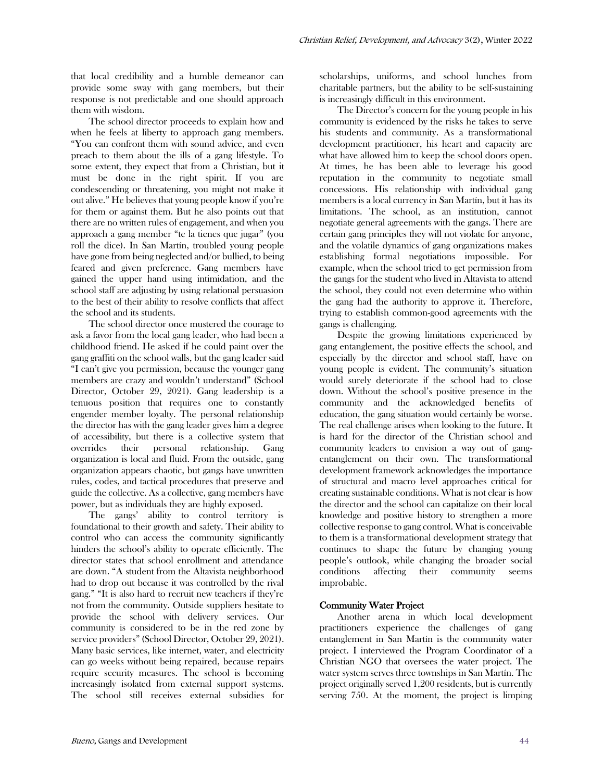that local credibility and a humble demeanor can provide some sway with gang members, but their response is not predictable and one should approach them with wisdom.

The school director proceeds to explain how and when he feels at liberty to approach gang members. "You can confront them with sound advice, and even preach to them about the ills of a gang lifestyle. To some extent, they expect that from a Christian, but it must be done in the right spirit. If you are condescending or threatening, you might not make it out alive." He believes that young people know if you're for them or against them. But he also points out that there are no written rules of engagement, and when you approach a gang member "te la tienes que jugar" (you roll the dice). In San Martín, troubled young people have gone from being neglected and/or bullied, to being feared and given preference. Gang members have gained the upper hand using intimidation, and the school staff are adjusting by using relational persuasion to the best of their ability to resolve conflicts that affect the school and its students.

The school director once mustered the courage to ask a favor from the local gang leader, who had been a childhood friend. He asked if he could paint over the gang graffiti on the school walls, but the gang leader said "I can't give you permission, because the younger gang members are crazy and wouldn't understand" (School Director, October 29, 2021). Gang leadership is a tenuous position that requires one to constantly engender member loyalty. The personal relationship the director has with the gang leader gives him a degree of accessibility, but there is a collective system that overrides their personal relationship. Gang organization is local and fluid. From the outside, gang organization appears chaotic, but gangs have unwritten rules, codes, and tactical procedures that preserve and guide the collective. As a collective, gang members have power, but as individuals they are highly exposed.

The gangs' ability to control territory is foundational to their growth and safety. Their ability to control who can access the community significantly hinders the school's ability to operate efficiently. The director states that school enrollment and attendance are down. "A student from the Altavista neighborhood had to drop out because it was controlled by the rival gang." "It is also hard to recruit new teachers if they're not from the community. Outside suppliers hesitate to provide the school with delivery services. Our community is considered to be in the red zone by service providers" (School Director, October 29, 2021). Many basic services, like internet, water, and electricity can go weeks without being repaired, because repairs require security measures. The school is becoming increasingly isolated from external support systems. The school still receives external subsidies for

scholarships, uniforms, and school lunches from charitable partners, but the ability to be self-sustaining is increasingly difficult in this environment.

The Director's concern for the young people in his community is evidenced by the risks he takes to serve his students and community. As a transformational development practitioner, his heart and capacity are what have allowed him to keep the school doors open. At times, he has been able to leverage his good reputation in the community to negotiate small concessions. His relationship with individual gang members is a local currency in San Martín, but it has its limitations. The school, as an institution, cannot negotiate general agreements with the gangs. There are certain gang principles they will not violate for anyone, and the volatile dynamics of gang organizations makes establishing formal negotiations impossible. For example, when the school tried to get permission from the gangs for the student who lived in Altavista to attend the school, they could not even determine who within the gang had the authority to approve it. Therefore, trying to establish common-good agreements with the gangs is challenging.

Despite the growing limitations experienced by gang entanglement, the positive effects the school, and especially by the director and school staff, have on young people is evident. The community's situation would surely deteriorate if the school had to close down. Without the school's positive presence in the community and the acknowledged benefits of education, the gang situation would certainly be worse. The real challenge arises when looking to the future. It is hard for the director of the Christian school and community leaders to envision a way out of gangentanglement on their own. The transformational development framework acknowledges the importance of structural and macro level approaches critical for creating sustainable conditions. What is not clear is how the director and the school can capitalize on their local knowledge and positive history to strengthen a more collective response to gang control. What is conceivable to them is a transformational development strategy that continues to shape the future by changing young people's outlook, while changing the broader social conditions affecting their community seems improbable.

#### Community Water Project

Another arena in which local development practitioners experience the challenges of gang entanglement in San Martín is the community water project. I interviewed the Program Coordinator of a Christian NGO that oversees the water project. The water system serves three townships in San Martín. The project originally served 1,200 residents, but is currently serving 750. At the moment, the project is limping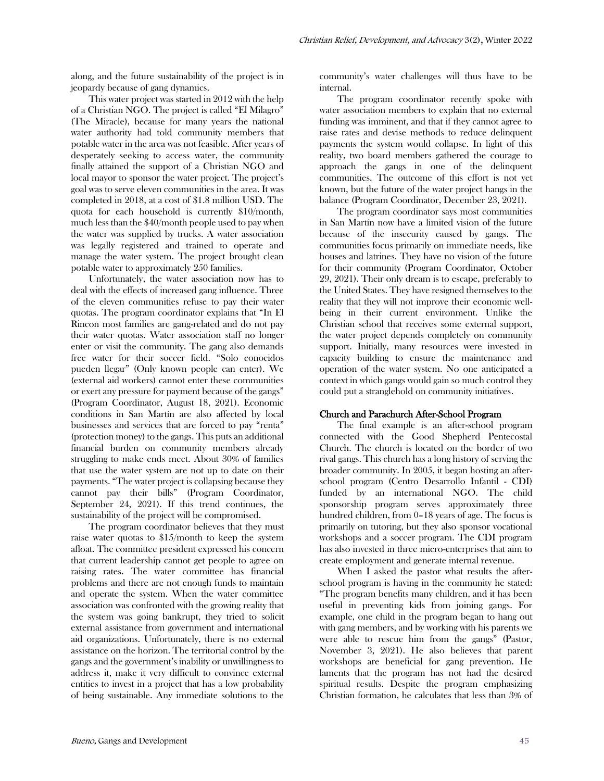along, and the future sustainability of the project is in jeopardy because of gang dynamics.

This water project was started in 2012 with the help of a Christian NGO. The project is called "El Milagro" (The Miracle), because for many years the national water authority had told community members that potable water in the area was not feasible. After years of desperately seeking to access water, the community finally attained the support of a Christian NGO and local mayor to sponsor the water project. The project's goal was to serve eleven communities in the area. It was completed in 2018, at a cost of \$1.8 million USD. The quota for each household is currently \$10/month, much less than the \$40/month people used to pay when the water was supplied by trucks. A water association was legally registered and trained to operate and manage the water system. The project brought clean potable water to approximately 250 families.

Unfortunately, the water association now has to deal with the effects of increased gang influence. Three of the eleven communities refuse to pay their water quotas. The program coordinator explains that "In El Rincon most families are gang-related and do not pay their water quotas. Water association staff no longer enter or visit the community. The gang also demands free water for their soccer field. "Solo conocidos pueden llegar" (Only known people can enter). We (external aid workers) cannot enter these communities or exert any pressure for payment because of the gangs" (Program Coordinator, August 18, 2021). Economic conditions in San Martín are also affected by local businesses and services that are forced to pay "renta" (protection money) to the gangs. This puts an additional financial burden on community members already struggling to make ends meet. About 30% of families that use the water system are not up to date on their payments. "The water project is collapsing because they cannot pay their bills" (Program Coordinator, September 24, 2021). If this trend continues, the sustainability of the project will be compromised.

The program coordinator believes that they must raise water quotas to \$15/month to keep the system afloat. The committee president expressed his concern that current leadership cannot get people to agree on raising rates. The water committee has financial problems and there are not enough funds to maintain and operate the system. When the water committee association was confronted with the growing reality that the system was going bankrupt, they tried to solicit external assistance from government and international aid organizations. Unfortunately, there is no external assistance on the horizon. The territorial control by the gangs and the government's inability or unwillingness to address it, make it very difficult to convince external entities to invest in a project that has a low probability of being sustainable. Any immediate solutions to the

community's water challenges will thus have to be internal.

The program coordinator recently spoke with water association members to explain that no external funding was imminent, and that if they cannot agree to raise rates and devise methods to reduce delinquent payments the system would collapse. In light of this reality, two board members gathered the courage to approach the gangs in one of the delinquent communities. The outcome of this effort is not yet known, but the future of the water project hangs in the balance (Program Coordinator, December 23, 2021).

The program coordinator says most communities in San Martín now have a limited vision of the future because of the insecurity caused by gangs. The communities focus primarily on immediate needs, like houses and latrines. They have no vision of the future for their community (Program Coordinator, October 29, 2021). Their only dream is to escape, preferably to the United States. They have resigned themselves to the reality that they will not improve their economic wellbeing in their current environment. Unlike the Christian school that receives some external support, the water project depends completely on community support. Initially, many resources were invested in capacity building to ensure the maintenance and operation of the water system. No one anticipated a context in which gangs would gain so much control they could put a stranglehold on community initiatives.

#### Church and Parachurch After-School Program

The final example is an after-school program connected with the Good Shepherd Pentecostal Church. The church is located on the border of two rival gangs. This church has a long history of serving the broader community. In 2005, it began hosting an afterschool program (Centro Desarrollo Infantil - CDI) funded by an international NGO. The child sponsorship program serves approximately three hundred children, from 0–18 years of age. The focus is primarily on tutoring, but they also sponsor vocational workshops and a soccer program. The CDI program has also invested in three micro-enterprises that aim to create employment and generate internal revenue.

When I asked the pastor what results the afterschool program is having in the community he stated: "The program benefits many children, and it has been useful in preventing kids from joining gangs. For example, one child in the program began to hang out with gang members, and by working with his parents we were able to rescue him from the gangs" (Pastor, November 3, 2021). He also believes that parent workshops are beneficial for gang prevention. He laments that the program has not had the desired spiritual results. Despite the program emphasizing Christian formation, he calculates that less than 3% of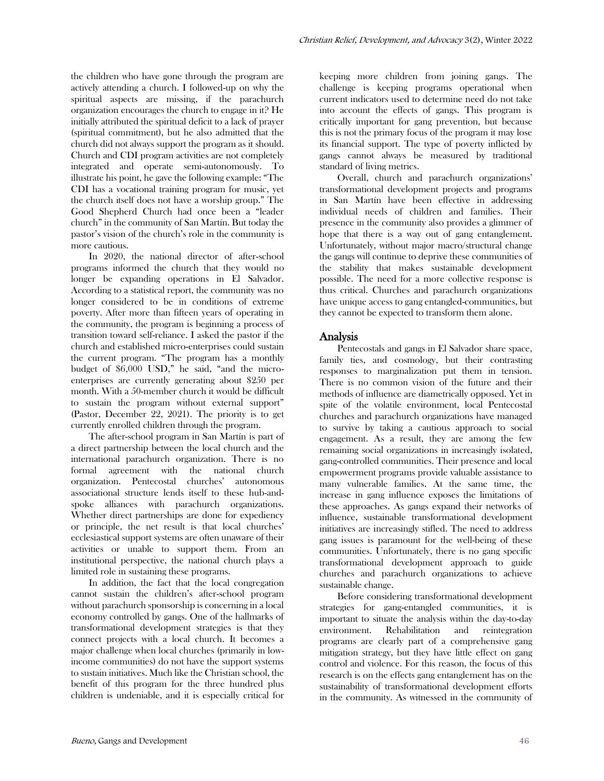the children who have gone through the program are actively attending a church. I followed-up on why the spiritual aspects are missing, if the parachurch organization encourages the church to engage in it? He initially attributed the spiritual deficit to a lack of prayer (spiritual commitment), but he also admitted that the church did not always support the program as it should. Church and CDI program activities are not completely integrated and operate semi-autonomously. To illustrate his point, he gave the following example: "The CDI has a vocational training program for music, yet the church itself does not have a worship group." The Good Shepherd Church had once been a "leader church" in the community of San Martín. But today the pastor's vision of the church's role in the community is more cautious.

In 2020, the national director of after-school programs informed the church that they would no longer be expanding operations in El Salvador. According to a statistical report, the community was no longer considered to be in conditions of extreme poverty. After more than fifteen years of operating in the community, the program is beginning a process of transition toward self-reliance. I asked the pastor if the church and established micro-enterprises could sustain the current program. "The program has a monthly budget of \$6,000 USD," he said, "and the microenterprises are currently generating about \$250 per month. With a 50-member church it would be difficult to sustain the program without external support" (Pastor, December 22, 2021). The priority is to get currently enrolled children through the program.

The after-school program in San Martín is part of a direct partnership between the local church and the international parachurch organization. There is no formal agreement with the national church organization. Pentecostal churches' autonomous associational structure lends itself to these hub-andspoke alliances with parachurch organizations. Whether direct partnerships are done for expediency or principle, the net result is that local churches' ecclesiastical support systems are often unaware of their activities or unable to support them. From an institutional perspective, the national church plays a limited role in sustaining these programs.

In addition, the fact that the local congregation cannot sustain the children's after-school program without parachurch sponsorship is concerning in a local economy controlled by gangs. One of the hallmarks of transformational development strategies is that they connect projects with a local church. It becomes a major challenge when local churches (primarily in lowincome communities) do not have the support systems to sustain initiatives. Much like the Christian school, the benefit of this program for the three hundred plus children is undeniable, and it is especially critical for

keeping more children from joining gangs. The challenge is keeping programs operational when current indicators used to determine need do not take into account the effects of gangs. This program is critically important for gang prevention, but because this is not the primary focus of the program it may lose its financial support. The type of poverty inflicted by gangs cannot always be measured by traditional standard of living metrics.

Overall, church and parachurch organizations' transformational development projects and programs in San Martín have been effective in addressing individual needs of children and families. Their presence in the community also provides a glimmer of hope that there is a way out of gang entanglement. Unfortunately, without major macro/structural change the gangs will continue to deprive these communities of the stability that makes sustainable development possible. The need for a more collective response is thus critical. Churches and parachurch organizations have unique access to gang entangled-communities, but they cannot be expected to transform them alone.

## Analysis

Pentecostals and gangs in El Salvador share space, family ties, and cosmology, but their contrasting responses to marginalization put them in tension. There is no common vision of the future and their methods of influence are diametrically opposed. Yet in spite of the volatile environment, local Pentecostal churches and parachurch organizations have managed to survive by taking a cautious approach to social engagement. As a result, they are among the few remaining social organizations in increasingly isolated, gang-controlled communities. Their presence and local empowerment programs provide valuable assistance to many vulnerable families. At the same time, the increase in gang influence exposes the limitations of these approaches. As gangs expand their networks of influence, sustainable transformational development initiatives are increasingly stifled. The need to address gang issues is paramount for the well-being of these communities. Unfortunately, there is no gang specific transformational development approach to guide churches and parachurch organizations to achieve sustainable change.

Before considering transformational development strategies for gang-entangled communities, it is important to situate the analysis within the day-to-day environment. Rehabilitation and reintegration programs are clearly part of a comprehensive gang mitigation strategy, but they have little effect on gang control and violence. For this reason, the focus of this research is on the effects gang entanglement has on the sustainability of transformational development efforts in the community. As witnessed in the community of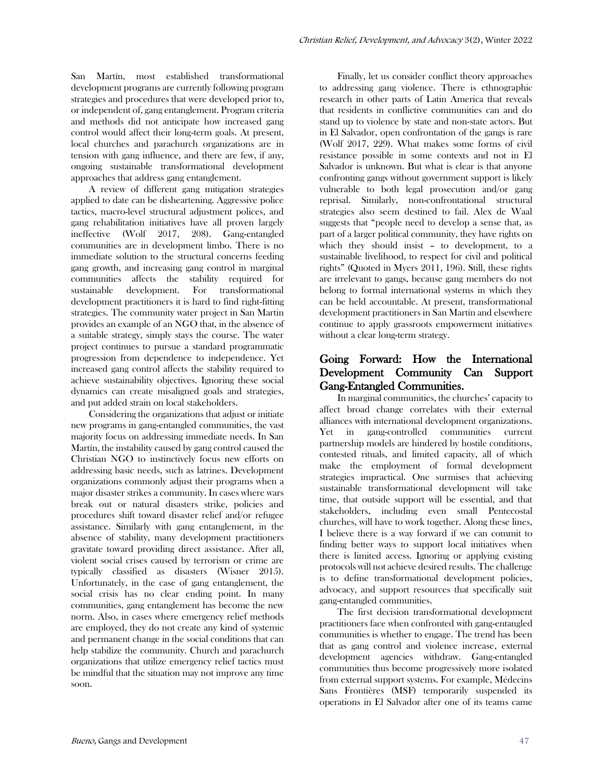San Martín, most established transformational development programs are currently following program strategies and procedures that were developed prior to, or independent of, gang entanglement. Program criteria and methods did not anticipate how increased gang control would affect their long-term goals. At present, local churches and parachurch organizations are in tension with gang influence, and there are few, if any, ongoing sustainable transformational development approaches that address gang entanglement.

A review of different gang mitigation strategies applied to date can be disheartening. Aggressive police tactics, macro-level structural adjustment polices, and gang rehabilitation initiatives have all proven largely ineffective (Wolf 2017, 208). Gang-entangled communities are in development limbo. There is no immediate solution to the structural concerns feeding gang growth, and increasing gang control in marginal communities affects the stability required for sustainable development. For transformational development practitioners it is hard to find right-fitting strategies. The community water project in San Martin provides an example of an NGO that, in the absence of a suitable strategy, simply stays the course. The water project continues to pursue a standard programmatic progression from dependence to independence. Yet increased gang control affects the stability required to achieve sustainability objectives. Ignoring these social dynamics can create misaligned goals and strategies, and put added strain on local stakeholders.

Considering the organizations that adjust or initiate new programs in gang-entangled communities, the vast majority focus on addressing immediate needs. In San Martín, the instability caused by gang control caused the Christian NGO to instinctively focus new efforts on addressing basic needs, such as latrines. Development organizations commonly adjust their programs when a major disaster strikes a community. In cases where wars break out or natural disasters strike, policies and procedures shift toward disaster relief and/or refugee assistance. Similarly with gang entanglement, in the absence of stability, many development practitioners gravitate toward providing direct assistance. After all, violent social crises caused by terrorism or crime are typically classified as disasters (Wisner 2015). Unfortunately, in the case of gang entanglement, the social crisis has no clear ending point. In many communities, gang entanglement has become the new norm. Also, in cases where emergency relief methods are employed, they do not create any kind of systemic and permanent change in the social conditions that can help stabilize the community. Church and parachurch organizations that utilize emergency relief tactics must be mindful that the situation may not improve any time soon.

Finally, let us consider conflict theory approaches to addressing gang violence. There is ethnographic research in other parts of Latin America that reveals that residents in conflictive communities can and do stand up to violence by state and non-state actors. But in El Salvador, open confrontation of the gangs is rare (Wolf 2017, 229). What makes some forms of civil resistance possible in some contexts and not in El Salvador is unknown. But what is clear is that anyone confronting gangs without government support is likely vulnerable to both legal prosecution and/or gang reprisal. Similarly, non-confrontational structural strategies also seem destined to fail. Alex de Waal suggests that "people need to develop a sense that, as part of a larger political community, they have rights on which they should insist – to development, to a sustainable livelihood, to respect for civil and political rights" (Quoted in Myers 2011, 196). Still, these rights are irrelevant to gangs, because gang members do not belong to formal international systems in which they can be held accountable. At present, transformational development practitioners in San Martín and elsewhere continue to apply grassroots empowerment initiatives without a clear long-term strategy.

# Going Forward: How the International Development Community Can Support Gang-Entangled Communities.

In marginal communities, the churches' capacity to affect broad change correlates with their external alliances with international development organizations. Yet in gang-controlled communities current partnership models are hindered by hostile conditions, contested rituals, and limited capacity, all of which make the employment of formal development strategies impractical. One surmises that achieving sustainable transformational development will take time, that outside support will be essential, and that stakeholders, including even small Pentecostal churches, will have to work together. Along these lines, I believe there is a way forward if we can commit to finding better ways to support local initiatives when there is limited access. Ignoring or applying existing protocols will not achieve desired results. The challenge is to define transformational development policies, advocacy, and support resources that specifically suit gang-entangled communities.

The first decision transformational development practitioners face when confronted with gang-entangled communities is whether to engage. The trend has been that as gang control and violence increase, external development agencies withdraw. Gang-entangled communities thus become progressively more isolated from external support systems. For example, Médecins Sans Frontières (MSF) temporarily suspended its operations in El Salvador after one of its teams came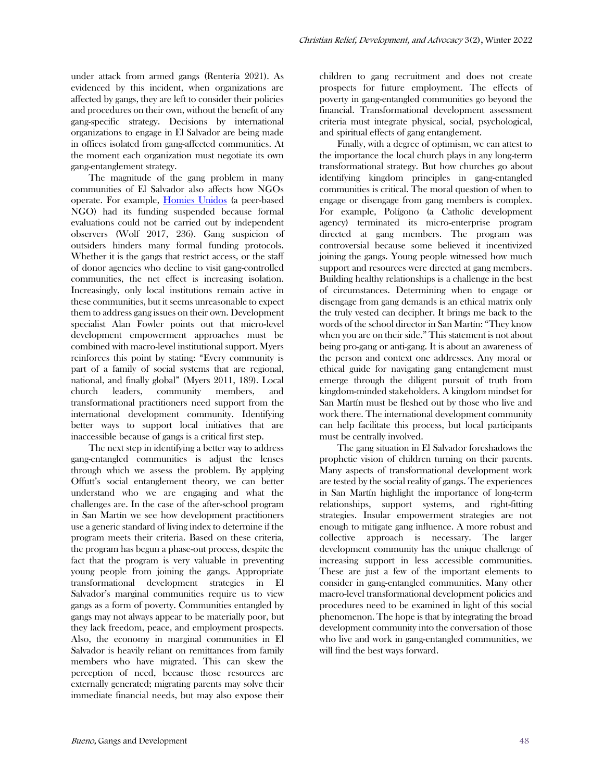under attack from armed gangs (Rentería 2021). As evidenced by this incident, when organizations are affected by gangs, they are left to consider their policies and procedures on their own, without the benefit of any gang-specific strategy. Decisions by international organizations to engage in El Salvador are being made in offices isolated from gang-affected communities. At the moment each organization must negotiate its own gang-entanglement strategy.

The magnitude of the gang problem in many communities of El Salvador also affects how NGOs operate. For example, [Homies Unidos](about:blank) (a peer-based NGO) had its funding suspended because formal evaluations could not be carried out by independent observers (Wolf 2017, 236). Gang suspicion of outsiders hinders many formal funding protocols. Whether it is the gangs that restrict access, or the staff of donor agencies who decline to visit gang-controlled communities, the net effect is increasing isolation. Increasingly, only local institutions remain active in these communities, but it seems unreasonable to expect them to address gang issues on their own. Development specialist Alan Fowler points out that micro-level development empowerment approaches must be combined with macro-level institutional support. Myers reinforces this point by stating: "Every community is part of a family of social systems that are regional, national, and finally global" (Myers 2011, 189). Local church leaders, community members, and transformational practitioners need support from the international development community. Identifying better ways to support local initiatives that are inaccessible because of gangs is a critical first step.

The next step in identifying a better way to address gang-entangled communities is adjust the lenses through which we assess the problem. By applying Offutt's social entanglement theory, we can better understand who we are engaging and what the challenges are. In the case of the after-school program in San Martín we see how development practitioners use a generic standard of living index to determine if the program meets their criteria. Based on these criteria, the program has begun a phase-out process, despite the fact that the program is very valuable in preventing young people from joining the gangs. Appropriate transformational development strategies in El Salvador's marginal communities require us to view gangs as a form of poverty. Communities entangled by gangs may not always appear to be materially poor, but they lack freedom, peace, and employment prospects. Also, the economy in marginal communities in El Salvador is heavily reliant on remittances from family members who have migrated. This can skew the perception of need, because those resources are externally generated; migrating parents may solve their immediate financial needs, but may also expose their

children to gang recruitment and does not create prospects for future employment. The effects of poverty in gang-entangled communities go beyond the financial. Transformational development assessment criteria must integrate physical, social, psychological, and spiritual effects of gang entanglement.

Finally, with a degree of optimism, we can attest to the importance the local church plays in any long-term transformational strategy. But how churches go about identifying kingdom principles in gang-entangled communities is critical. The moral question of when to engage or disengage from gang members is complex. For example, Polígono (a Catholic development agency) terminated its micro-enterprise program directed at gang members. The program was controversial because some believed it incentivized joining the gangs. Young people witnessed how much support and resources were directed at gang members. Building healthy relationships is a challenge in the best of circumstances. Determining when to engage or disengage from gang demands is an ethical matrix only the truly vested can decipher. It brings me back to the words of the school director in San Martín: "They know when you are on their side." This statement is not about being pro-gang or anti-gang. It is about an awareness of the person and context one addresses. Any moral or ethical guide for navigating gang entanglement must emerge through the diligent pursuit of truth from kingdom-minded stakeholders. A kingdom mindset for San Martín must be fleshed out by those who live and work there. The international development community can help facilitate this process, but local participants must be centrally involved.

The gang situation in El Salvador foreshadows the prophetic vision of children turning on their parents. Many aspects of transformational development work are tested by the social reality of gangs. The experiences in San Martín highlight the importance of long-term relationships, support systems, and right-fitting strategies. Insular empowerment strategies are not enough to mitigate gang influence. A more robust and collective approach is necessary. The larger development community has the unique challenge of increasing support in less accessible communities. These are just a few of the important elements to consider in gang-entangled communities. Many other macro-level transformational development policies and procedures need to be examined in light of this social phenomenon. The hope is that by integrating the broad development community into the conversation of those who live and work in gang-entangled communities, we will find the best ways forward.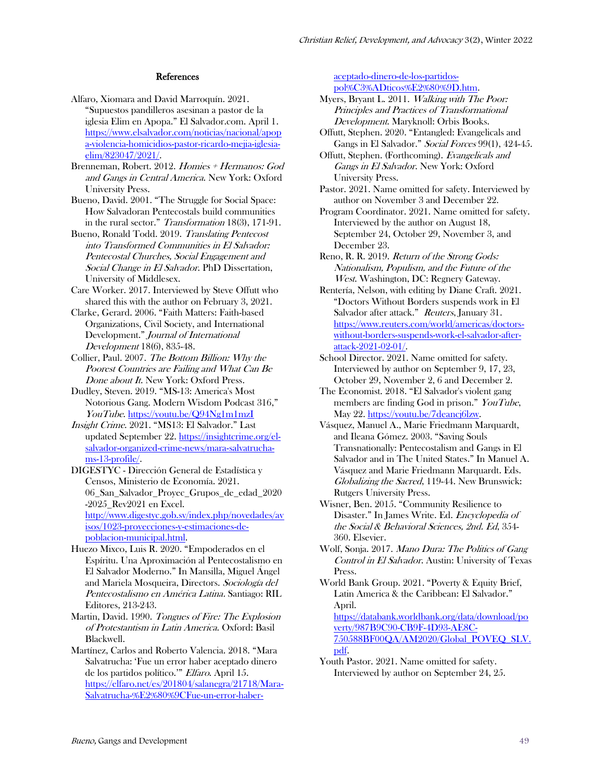#### References

- Alfaro, Xiomara and David Marroquín. 2021. "Supuestos pandilleros asesinan a pastor de la iglesia Elim en Apopa." El Salvador.com. April 1. https://www.elsalvador.com/noticias/nacional/apop a-violencia-homicidios-pastor-ricardo-mejia-iglesiaelim/823047/2021/.
- Brenneman, Robert. 2012. Homies + Hermanos: God and Gangs in Central America. New York: Oxford University Press.
- Bueno, David. 2001. "The Struggle for Social Space: How Salvadoran Pentecostals build communities in the rural sector." Transformation 18(3), 171-91.
- Bueno, Ronald Todd. 2019. Translating Pentecost into Transformed Communities in El Salvador: Pentecostal Churches, Social Engagement and Social Change in El Salvador. PhD Dissertation, University of Middlesex.
- Care Worker. 2017. Interviewed by Steve Offutt who shared this with the author on February 3, 2021.
- Clarke, Gerard. 2006. "Faith Matters: Faith-based Organizations, Civil Society, and International Development." Journal of International Development 18(6), 835-48.
- Collier, Paul. 2007. The Bottom Billion: Why the Poorest Countries are Failing and What Can Be Done about It. New York: Oxford Press.
- Dudley, Steven. 2019. "MS-13: America's Most Notorious Gang. Modern Wisdom Podcast 316," YouTube. [https://youtu.be/Q94Ng1m1mzI](about:blank)
- Insight Crime. 2021. "MS13: El Salvador." Last updated September 22. [https://insightcrime.org/el](about:blank)[salvador-organized-crime-news/mara-salvatrucha](about:blank)[ms-13-profile/.](about:blank)
- DIGESTYC Dirección General de Estadística y Censos, Ministerio de Economía. 2021. 06\_San\_Salvador\_Proyec\_Grupos\_de\_edad\_2020 -2025\_Rev2021 en Excel. [http://www.digestyc.gob.sv/index.php/novedades/av](about:blank) [isos/1023-proyecciones-y-estimaciones-de](about:blank)[poblacion-municipal.html.](about:blank)
- Huezo Mixco, Luis R. 2020. "Empoderados en el Espíritu. Una Aproximación al Pentecostalismo en El Salvador Moderno." In Mansilla, Miguel Ángel and Mariela Mosqueira, Directors. Sociología del Pentecostalismo en América Latina. Santiago: RIL Editores, 213-243.
- Martin, David. 1990. Tongues of Fire: The Explosion of Protestantism in Latin America. Oxford: Basil Blackwell.
- Martínez, Carlos and Roberto Valencia. 2018. "Mara Salvatrucha: 'Fue un error haber aceptado dinero de los partidos político.'" Elfaro. April 15. https://elfaro.net/es/201804/salanegra/21718/Mara-Salvatrucha-%E2%80%9CFue-un-error-haber-

aceptado-dinero-de-los-partidospol%C3%ADticos%E2%80%9D.htm.

- Myers, Bryant L. 2011. Walking with The Poor: Principles and Practices of Transformational Development. Maryknoll: Orbis Books.
- Offutt, Stephen. 2020. "Entangled: Evangelicals and Gangs in El Salvador." Social Forces 99(1), 424-45.
- Offutt, Stephen. (Forthcoming). Evangelicals and Gangs in El Salvador. New York: Oxford University Press.
- Pastor. 2021. Name omitted for safety. Interviewed by author on November 3 and December 22.
- Program Coordinator. 2021. Name omitted for safety. Interviewed by the author on August 18, September 24, October 29, November 3, and December 23.
- Reno, R. R. 2019. Return of the Strong Gods: Nationalism, Populism, and the Future of the West. Washington, DC: Regnery Gateway.
- Rentería, Nelson, with editing by Diane Craft. 2021. "Doctors Without Borders suspends work in El Salvador after attack." Reuters, January 31. [https://www.reuters.com/world/americas/doctors](about:blank)[without-borders-suspends-work-el-salvador-after](about:blank)[attack-2021-02-01/.](about:blank)
- School Director. 2021. Name omitted for safety. Interviewed by author on September 9, 17, 23, October 29, November 2, 6 and December 2.
- The Economist. 2018. "El Salvador's violent gang members are finding God in prison." YouTube, May 22. [https://youtu.be/7deancj6lzw.](about:blank)
- Vásquez, Manuel A., Marie Friedmann Marquardt, and Ileana Gómez. 2003. "Saving Souls Transnationally: Pentecostalism and Gangs in El Salvador and in The United States." In Manuel A. Vásquez and Marie Friedmann Marquardt. Eds. Globalizing the Sacred, 119-44. New Brunswick: Rutgers University Press.
- Wisner, Ben. 2015. "Community Resilience to Disaster." In James Write. Ed. Encyclopedia of the Social & Behavioral Sciences, 2nd. Ed, 354- 360. Elsevier.
- Wolf, Sonja. 2017. Mano Dura: The Politics of Gang Control in El Salvador. Austin: University of Texas Press.
- World Bank Group. 2021. "Poverty & Equity Brief, Latin America & the Caribbean: El Salvador." April.

[https://databank.worldbank.org/data/download/po](about:blank) [verty/987B9C90-CB9F-4D93-AE8C-](about:blank)[750588BF00QA/AM2020/Global\\_POVEQ\\_SLV.](about:blank) [pdf.](about:blank)

Youth Pastor. 2021. Name omitted for safety. Interviewed by author on September 24, 25.